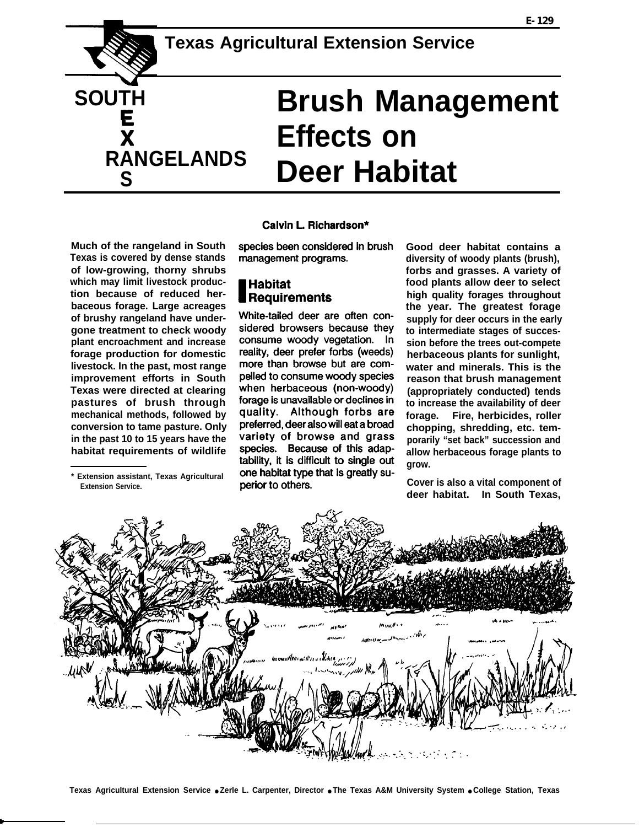

**Much of the rangeland in South Texas is covered by dense stands of low-growing, thorny shrubs which may limit livestock production because of reduced herbaceous forage. Large acreages of brushy rangeland have undergone treatment to check woody plant encroachment and increase forage production for domestic livestock. In the past, most range improvement efforts in South Texas were directed at clearing pastures of brush through mechanical methods, followed by conversion to tame pasture. Only in the past 10 to 15 years have the habitat requirements of wildlife**

**\* Extension assistant, Texas Agricultural Extension Service.** 

#### Calvin L. Richardson\*

species been considered in brush management programs.

# **Habitat Requirements**

White-tailed deer are often considered browsers because they consume woody vegetation. In reality, deer prefer forbs (weeds) more than browse but are compelled to consume woody species when herbaceous (non-woody) forage is unavailable or declines in quality. Although forbs are preferred, deer also will eat a broad variety of browse and grass species. Because of this adaptability, it is difficult to single out one habitat type that is greatly superior to others.

**Good deer habitat contains a diversity of woody plants (brush), forbs and grasses. A variety of food plants allow deer to select high quality forages throughout the year. The greatest forage supply for deer occurs in the early to intermediate stages of succession before the trees out-compete herbaceous plants for sunlight, water and minerals. This is the reason that brush management (appropriately conducted) tends to increase the availability of deer forage. Fire, herbicides, roller chopping, shredding, etc. temporarily "set back" succession and allow herbaceous forage plants to grow.**

**Cover is also a vital component of deer habitat. In South Texas,**

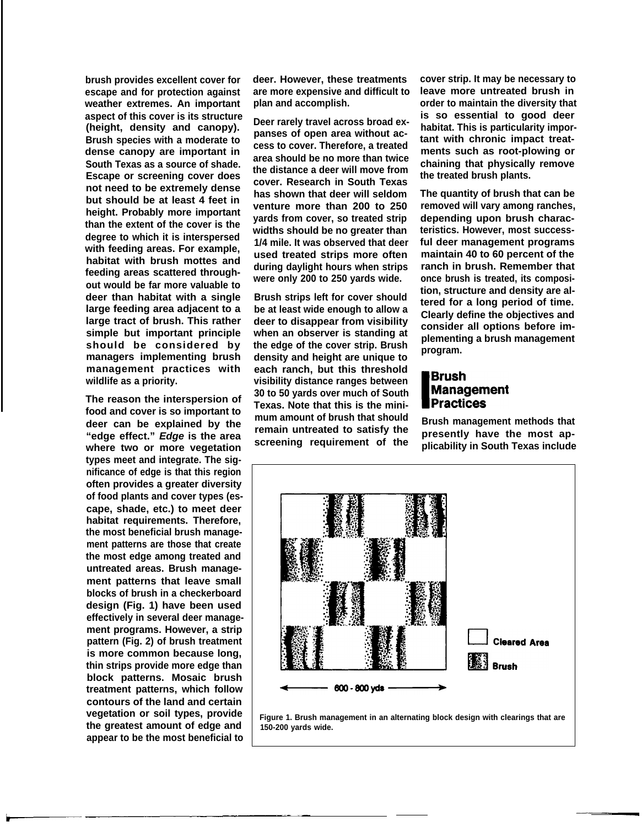**brush provides excellent cover for escape and for protection against weather extremes. An important aspect of this cover is its structure (height, density and canopy). Brush species with a moderate to dense canopy are important in South Texas as a source of shade. Escape or screening cover does not need to be extremely dense but should be at least 4 feet in height. Probably more important than the extent of the cover is the degree to which it is interspersed with feeding areas. For example, habitat with brush mottes and feeding areas scattered throughout would be far more valuable to deer than habitat with a single large feeding area adjacent to a large tract of brush. This rather simple but important principle should be considered by managers implementing brush management practices with wildlife as a priority.**

**The reason the interspersion of food and cover is so important to deer can be explained by the "edge effect." Edge is the area where two or more vegetation types meet and integrate. The significance of edge is that this region often provides a greater diversity of food plants and cover types (escape, shade, etc.) to meet deer habitat requirements. Therefore, the most beneficial brush management patterns are those that create the most edge among treated and untreated areas. Brush management patterns that leave small blocks of brush in a checkerboard design (Fig. 1) have been used effectively in several deer management programs. However, a strip pattern (Fig. 2) of brush treatment is more common because long, thin strips provide more edge than block patterns. Mosaic brush treatment patterns, which follow contours of the land and certain vegetation or soil types, provide the greatest amount of edge and appear to be the most beneficial to** **deer. However, these treatments are more expensive and difficult to plan and accomplish.**

**Deer rarely travel across broad expanses of open area without access to cover. Therefore, a treated area should be no more than twice the distance a deer will move from cover. Research in South Texas has shown that deer will seldom venture more than 200 to 250 yards from cover, so treated strip widths should be no greater than 1/4 mile. It was observed that deer used treated strips more often during daylight hours when strips were only 200 to 250 yards wide.**

**Brush strips left for cover should be at least wide enough to allow a deer to disappear from visibility when an observer is standing at the edge of the cover strip. Brush density and height are unique to each ranch, but this threshold visibility distance ranges between 30 to 50 yards over much of South Texas. Note that this is the minimum amount of brush that should remain untreated to satisfy the screening requirement of the**

**cover strip. It may be necessary to leave more untreated brush in order to maintain the diversity that is so essential to good deer habitat. This is particularity important with chronic impact treatments such as root-plowing or chaining that physically remove the treated brush plants.**

**The quantity of brush that can be removed will vary among ranches, depending upon brush characteristics. However, most successful deer management programs maintain 40 to 60 percent of the ranch in brush. Remember that once brush is treated, its composition, structure and density are altered for a long period of time. Clearly define the objectives and consider all options before implementing a brush management program.**

## **Brush Management Practices**

**Brush management methods that presently have the most applicability in South Texas include**



**Figure 1. Brush management in an alternating block design with clearings that are 150-200 yards wide.**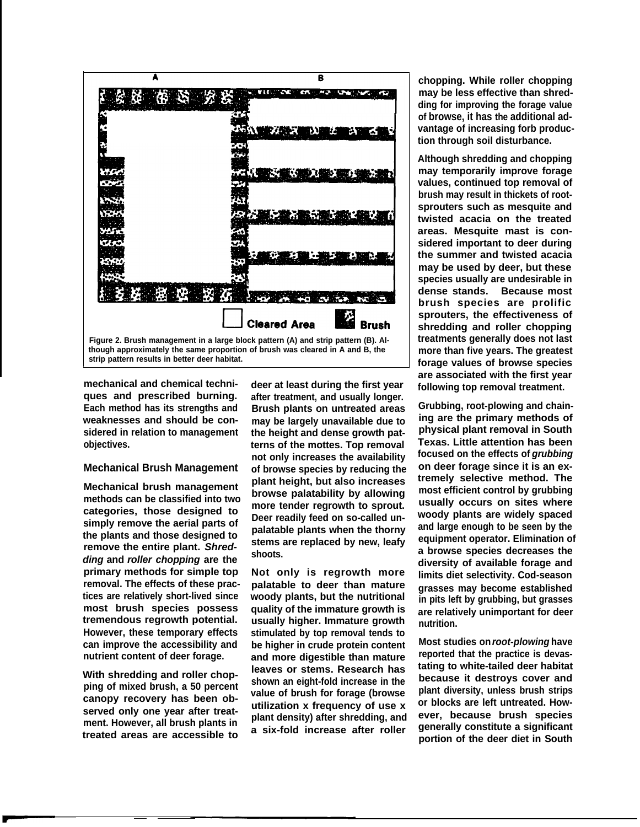

**mechanical and chemical techniques and prescribed burning. Each method has its strengths and weaknesses and should be considered in relation to management objectives.**

#### **Mechanical Brush Management**

**Mechanical brush management methods can be classified into two categories, those designed to simply remove the aerial parts of the plants and those designed to remove the entire plant. Shredding and roller chopping are the primary methods for simple top removal. The effects of these practices are relatively short-lived since most brush species possess tremendous regrowth potential. However, these temporary effects can improve the accessibility and nutrient content of deer forage.**

**With shredding and roller chopping of mixed brush, a 50 percent canopy recovery has been observed only one year after treatment. However, all brush plants in treated areas are accessible to**

**deer at least during the first year after treatment, and usually longer. Brush plants on untreated areas may be largely unavailable due to the height and dense growth patterns of the mottes. Top removal not only increases the availability of browse species by reducing the plant height, but also increases browse palatability by allowing more tender regrowth to sprout. Deer readily feed on so-called unpalatable plants when the thorny stems are replaced by new, leafy shoots.**

**Not only is regrowth more palatable to deer than mature woody plants, but the nutritional quality of the immature growth is usually higher. Immature growth stimulated by top removal tends to be higher in crude protein content and more digestible than mature leaves or stems. Research has shown an eight-fold increase in the value of brush for forage (browse utilization x frequency of use x plant density) after shredding, and a six-fold increase after roller**

**chopping. While roller chopping may be less effective than shredding for improving the forage value of browse, it has the additional advantage of increasing forb production through soil disturbance.**

**Although shredding and chopping may temporarily improve forage values, continued top removal of brush may result in thickets of rootsprouters such as mesquite and twisted acacia on the treated areas. Mesquite mast is considered important to deer during the summer and twisted acacia may be used by deer, but these species usually are undesirable in dense stands. Because most brush species are prolific sprouters, the effectiveness of shredding and roller chopping treatments generally does not last more than five years. The greatest forage values of browse species are associated with the first year following top removal treatment.**

**Grubbing, root-plowing and chaining are the primary methods of physical plant removal in South Texas. Little attention has been focused on the effects of grubbing on deer forage since it is an extremely selective method. The most efficient control by grubbing usually occurs on sites where woody plants are widely spaced and large enough to be seen by the equipment operator. Elimination of a browse species decreases the diversity of available forage and limits diet selectivity. Cod-season grasses may become established in pits left by grubbing, but grasses are relatively unimportant for deer nutrition.**

**Most studies on root-plowing have reported that the practice is devastating to white-tailed deer habitat because it destroys cover and plant diversity, unless brush strips or blocks are left untreated. However, because brush species generally constitute a significant portion of the deer diet in South**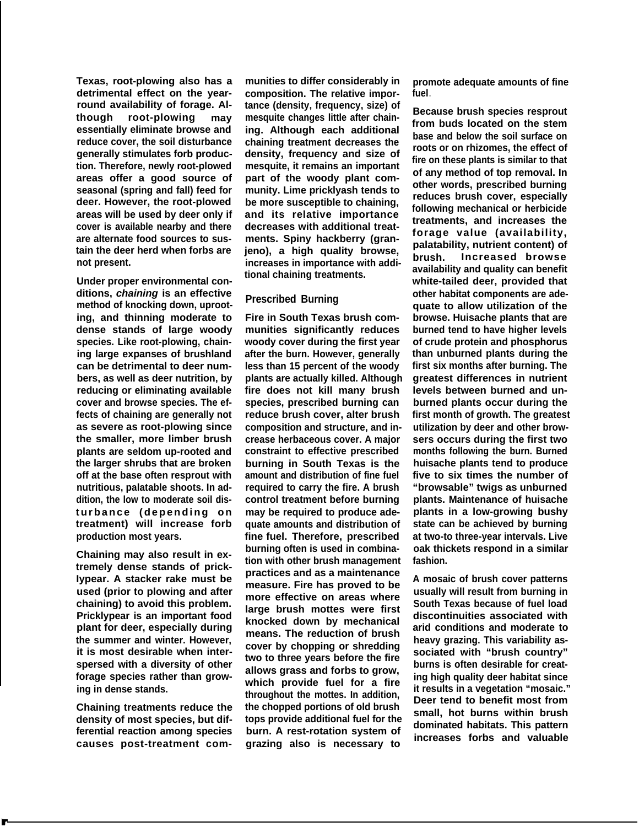**Texas, root-plowing also has a detrimental effect on the yearround availability of forage. Although root-plowing may essentially eliminate browse and reduce cover, the soil disturbance generally stimulates forb production. Therefore, newly root-plowed areas offer a good source of seasonal (spring and fall) feed for deer. However, the root-plowed areas will be used by deer only if cover is available nearby and there are alternate food sources to sustain the deer herd when forbs are not present.**

**Under proper environmental conditions, chaining is an effective method of knocking down, uprooting, and thinning moderate to dense stands of large woody species. Like root-plowing, chaining large expanses of brushland can be detrimental to deer numbers, as well as deer nutrition, by reducing or eliminating available cover and browse species. The effects of chaining are generally not as severe as root-plowing since the smaller, more limber brush plants are seldom up-rooted and the larger shrubs that are broken off at the base often resprout with nutritious, palatable shoots. In addition, the low to moderate soil disturbance (depending on treatment) will increase forb production most years.**

**Chaining may also result in extremely dense stands of prick-Iypear. A stacker rake must be used (prior to plowing and after chaining) to avoid this problem. Pricklypear is an important food plant for deer, especially during the summer and winter. However, it is most desirable when interspersed with a diversity of other forage species rather than growing in dense stands.**

**Chaining treatments reduce the density of most species, but differential reaction among species causes post-treatment com-**

**munities to differ considerably in composition. The relative importance (density, frequency, size) of mesquite changes little after chaining. Although each additional chaining treatment decreases the density, frequency and size of mesquite, it remains an important part of the woody plant community. Lime pricklyash tends to be more susceptible to chaining, and its relative importance decreases with additional treatments. Spiny hackberry (granjeno), a high quality browse, increases in importance with additional chaining treatments.**

### **Prescribed Burning**

**Fire in South Texas brush communities significantly reduces woody cover during the first year after the burn. However, generally less than 15 percent of the woody plants are actually killed. Although fire does not kill many brush species, prescribed burning can reduce brush cover, alter brush composition and structure, and increase herbaceous cover. A major constraint to effective prescribed burning in South Texas is the amount and distribution of fine fuel required to carry the fire. A brush control treatment before burning may be required to produce adequate amounts and distribution of fine fuel. Therefore, prescribed burning often is used in combination with other brush management practices and as a maintenance measure. Fire has proved to be more effective on areas where large brush mottes were first knocked down by mechanical means. The reduction of brush cover by chopping or shredding two to three years before the fire allows grass and forbs to grow, which provide fuel for a fire throughout the mottes. In addition, the chopped portions of old brush tops provide additional fuel for the burn. A rest-rotation system of grazing also is necessary to**

**promote adequate amounts of fine fuel.**

**Because brush species resprout from buds located on the stem base and below the soil surface on roots or on rhizomes, the effect of fire on these plants is similar to that of any method of top removal. In other words, prescribed burning reduces brush cover, especially following mechanical or herbicide treatments, and increases the forage value (availability, palatability, nutrient content) of brush. Increased browse availability and quality can benefit white-tailed deer, provided that other habitat components are adequate to allow utilization of the browse. Huisache pIants that are burned tend to have higher levels of crude protein and phosphorus than unburned plants during the first six months after burning. The greatest differences in nutrient levels between burned and unburned plants occur during the first month of growth. The greatest utilization by deer and other browsers occurs during the first two months following the burn. Burned huisache plants tend to produce five to six times the number of "browsable" twigs as unburned plants. Maintenance of huisache plants in a low-growing bushy state can be achieved by burning at two-to three-year intervals. Live oak thickets respond in a similar fashion.**

**A mosaic of brush cover patterns usually will result from burning in South Texas because of fuel load discontinuities associated with arid conditions and moderate to heavy grazing. This variability associated with "brush country" burns is often desirable for creating high quality deer habitat since it results in a vegetation "mosaic." Deer tend to benefit most from small, hot burns within brush dominated habitats. This pattern increases forbs and valuable**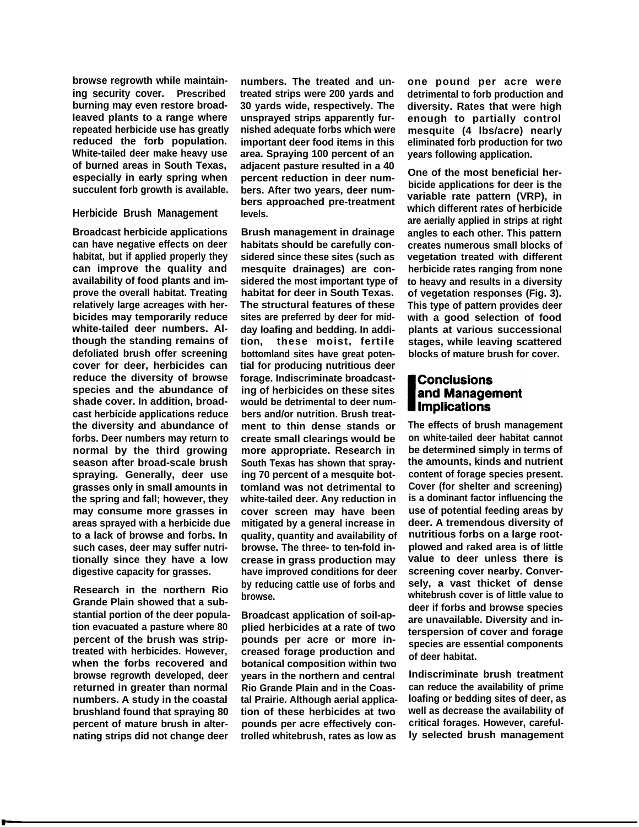**browse regrowth while maintaining security cover. Prescribed burning may even restore broad-Ieaved plants to a range where repeated herbicide use has greatly reduced the forb population. White-tailed deer make heavy use of burned areas in South Texas, especially in early spring when succulent forb growth is available.**

#### **Herbicide Brush Management**

**Broadcast herbicide applications can have negative effects on deer habitat, but if applied properly they can improve the quality and availability of food plants and improve the overall habitat. Treating relatively large acreages with herbicides may temporarily reduce white-tailed deer numbers. Although the standing remains of defoliated brush offer screening cover for deer, herbicides can reduce the diversity of browse species and the abundance of shade cover. In addition, broadcast herbicide applications reduce the diversity and abundance of forbs. Deer numbers may return to normal by the third growing season after broad-scale brush spraying. Generally, deer use grasses only in small amounts in the spring and fall; however, they may consume more grasses in areas sprayed with a herbicide due to a lack of browse and forbs. In such cases, deer may suffer nutritionally since they have a low digestive capacity for grasses.**

**Research in the northern Rio Grande Plain showed that a substantial portion of the deer population evacuated a pasture where 80 percent of the brush was striptreated with herbicides. However, when the forbs recovered and browse regrowth developed, deer returned in greater than normal numbers. A study in the coastal brushland found that spraying 80 percent of mature brush in alternating strips did not change deer**

**numbers. The treated and untreated strips were 200 yards and 30 yards wide, respectively. The unsprayed strips apparently furnished adequate forbs which were important deer food items in this area. Spraying 100 percent of an adjacent pasture resulted in a 40 percent reduction in deer numbers. After two years, deer numbers approached pre-treatment levels.**

**Brush management in drainage habitats should be carefully considered since these sites (such as mesquite drainages) are considered the most important type of habitat for deer in South Texas. The structural features of these sites are preferred by deer for midday loafing and bedding. In addition, these moist, fertile bottomland sites have great potential for producing nutritious deer forage. Indiscriminate broadcasting of herbicides on these sites would be detrimental to deer numbers and/or nutrition. Brush treatment to thin dense stands or create small clearings would be more appropriate. Research in South Texas has shown that spraying 70 percent of a mesquite bottomland was not detrimental to white-tailed deer. Any reduction in cover screen may have been mitigated by a general increase in quality, quantity and availability of browse. The three- to ten-fold increase in grass production may have improved conditions for deer by reducing cattle use of forbs and browse.**

**Broadcast application of soil-applied herbicides at a rate of two pounds per acre or more increased forage production and botanical composition within two years in the northern and central Rio Grande Plain and in the Coastal Prairie. Although aerial application of these herbicides at two pounds per acre effectively controlled whitebrush, rates as low as**

**one pound per acre were detrimental to forb production and diversity. Rates that were high enough to partially control mesquite (4 lbs/acre) nearly eliminated forb production for two years following application.**

**One of the most beneficial herbicide applications for deer is the variable rate pattern (VRP), in which different rates of herbicide are aerially applied in strips at right angles to each other. This pattern creates numerous small blocks of vegetation treated with different herbicide rates ranging from none to heavy and results in a diversity of vegetation responses (Fig. 3). This type of pattern provides deer with a good selection of food plants at various successional stages, while leaving scattered blocks of mature brush for cover.**

### **Conclusions** and Management **Implications**

**The effects of brush management on white-tailed deer habitat cannot be determined simply in terms of the amounts, kinds and nutrient content of forage species present. Cover (for shelter and screening) is a dominant factor influencing the use of potential feeding areas by deer. A tremendous diversity of nutritious forbs on a large rootplowed and raked area is of little value to deer unless there is screening cover nearby. Conversely, a vast thicket of dense whitebrush cover is of little value to deer if forbs and browse species are unavailable. Diversity and interspersion of cover and forage species are essential components of deer habitat.**

**Indiscriminate brush treatment can reduce the availability of prime loafing or bedding sites of deer, as well as decrease the availability of critical forages. However, carefully selected brush management**